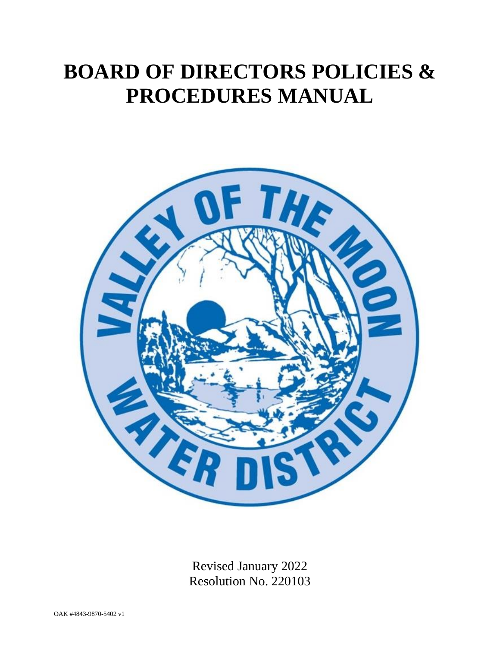# **BOARD OF DIRECTORS POLICIES & PROCEDURES MANUAL**



Revised January 2022 Resolution No. 220103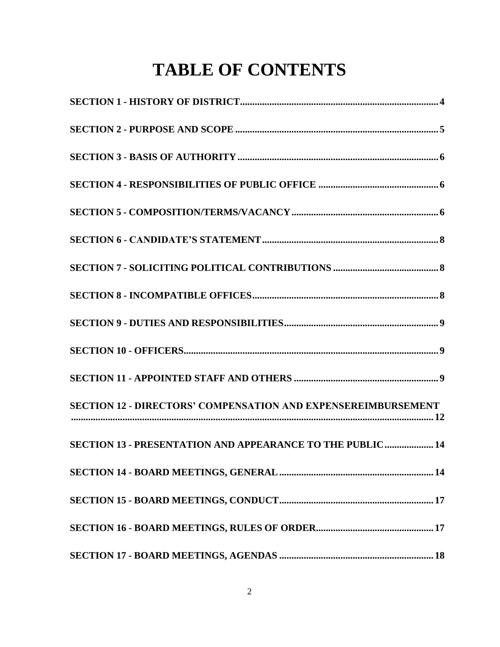# **TABLE OF CONTENTS**

| <b>SECTION 12 - DIRECTORS' COMPENSATION AND EXPENSEREIMBURSEMENT</b><br>$\begin{minipage}{0.9\linewidth} \begin{tabular}{l} \hline \textbf{0.0000} \end{tabular} \end{minipage} \begin{minipage}{0.9\linewidth} \begin{tabular}{l} \hline \textbf{1.000} \end{tabular} \end{minipage} \begin{minipage}{0.9\linewidth} \begin{tabular}{l} \hline \textbf{2.000} \end{tabular} \end{minipage} \end{minipage} \begin{minipage}{0.9\linewidth} \begin{tabular}{l} \hline \textbf{3.000} \end{tabular} \end{minipage} \end{minipage} \begin{minipage}{0.9\linewidth} \begin{tab$ |
|-----------------------------------------------------------------------------------------------------------------------------------------------------------------------------------------------------------------------------------------------------------------------------------------------------------------------------------------------------------------------------------------------------------------------------------------------------------------------------------------------------------------------------------------------------------------------------|
| SECTION 13 - PRESENTATION AND APPEARANCE TO THE PUBLIC 14                                                                                                                                                                                                                                                                                                                                                                                                                                                                                                                   |
|                                                                                                                                                                                                                                                                                                                                                                                                                                                                                                                                                                             |
|                                                                                                                                                                                                                                                                                                                                                                                                                                                                                                                                                                             |
|                                                                                                                                                                                                                                                                                                                                                                                                                                                                                                                                                                             |
|                                                                                                                                                                                                                                                                                                                                                                                                                                                                                                                                                                             |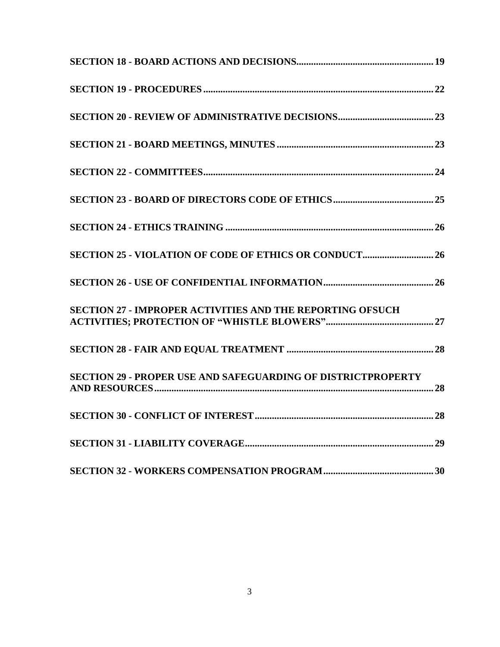| <b>SECTION 27 - IMPROPER ACTIVITIES AND THE REPORTING OFSUCH</b>    |
|---------------------------------------------------------------------|
|                                                                     |
| <b>SECTION 29 - PROPER USE AND SAFEGUARDING OF DISTRICTPROPERTY</b> |
|                                                                     |
|                                                                     |
|                                                                     |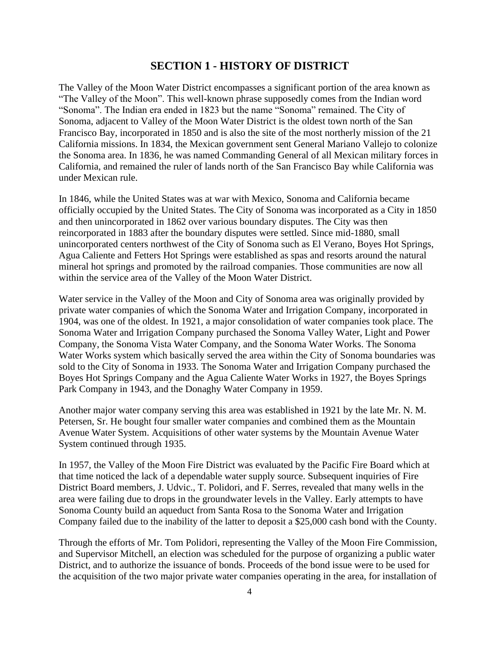## **SECTION 1 - HISTORY OF DISTRICT**

<span id="page-3-0"></span>The Valley of the Moon Water District encompasses a significant portion of the area known as "The Valley of the Moon". This well-known phrase supposedly comes from the Indian word "Sonoma". The Indian era ended in 1823 but the name "Sonoma" remained. The City of Sonoma, adjacent to Valley of the Moon Water District is the oldest town north of the San Francisco Bay, incorporated in 1850 and is also the site of the most northerly mission of the 21 California missions. In 1834, the Mexican government sent General Mariano Vallejo to colonize the Sonoma area. In 1836, he was named Commanding General of all Mexican military forces in California, and remained the ruler of lands north of the San Francisco Bay while California was under Mexican rule.

In 1846, while the United States was at war with Mexico, Sonoma and California became officially occupied by the United States. The City of Sonoma was incorporated as a City in 1850 and then unincorporated in 1862 over various boundary disputes. The City was then reincorporated in 1883 after the boundary disputes were settled. Since mid-1880, small unincorporated centers northwest of the City of Sonoma such as El Verano, Boyes Hot Springs, Agua Caliente and Fetters Hot Springs were established as spas and resorts around the natural mineral hot springs and promoted by the railroad companies. Those communities are now all within the service area of the Valley of the Moon Water District.

Water service in the Valley of the Moon and City of Sonoma area was originally provided by private water companies of which the Sonoma Water and Irrigation Company, incorporated in 1904, was one of the oldest. In 1921, a major consolidation of water companies took place. The Sonoma Water and Irrigation Company purchased the Sonoma Valley Water, Light and Power Company, the Sonoma Vista Water Company, and the Sonoma Water Works. The Sonoma Water Works system which basically served the area within the City of Sonoma boundaries was sold to the City of Sonoma in 1933. The Sonoma Water and Irrigation Company purchased the Boyes Hot Springs Company and the Agua Caliente Water Works in 1927, the Boyes Springs Park Company in 1943, and the Donaghy Water Company in 1959.

Another major water company serving this area was established in 1921 by the late Mr. N. M. Petersen, Sr. He bought four smaller water companies and combined them as the Mountain Avenue Water System. Acquisitions of other water systems by the Mountain Avenue Water System continued through 1935.

In 1957, the Valley of the Moon Fire District was evaluated by the Pacific Fire Board which at that time noticed the lack of a dependable water supply source. Subsequent inquiries of Fire District Board members, J. Udvic., T. Polidori, and F. Serres, revealed that many wells in the area were failing due to drops in the groundwater levels in the Valley. Early attempts to have Sonoma County build an aqueduct from Santa Rosa to the Sonoma Water and Irrigation Company failed due to the inability of the latter to deposit a \$25,000 cash bond with the County.

Through the efforts of Mr. Tom Polidori, representing the Valley of the Moon Fire Commission, and Supervisor Mitchell, an election was scheduled for the purpose of organizing a public water District, and to authorize the issuance of bonds. Proceeds of the bond issue were to be used for the acquisition of the two major private water companies operating in the area, for installation of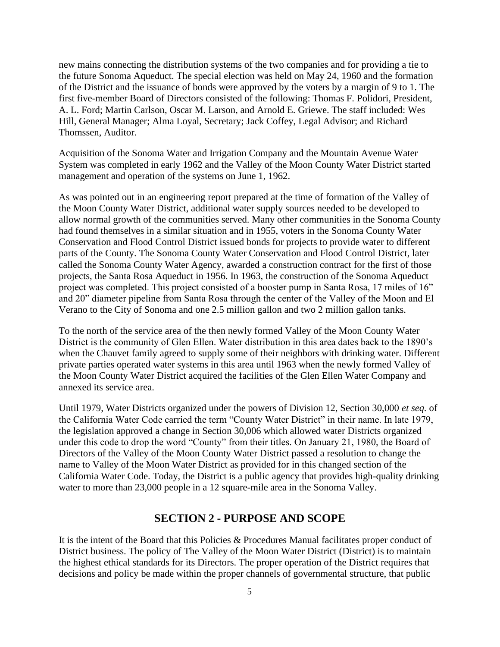new mains connecting the distribution systems of the two companies and for providing a tie to the future Sonoma Aqueduct. The special election was held on May 24, 1960 and the formation of the District and the issuance of bonds were approved by the voters by a margin of 9 to 1. The first five-member Board of Directors consisted of the following: Thomas F. Polidori, President, A. L. Ford; Martin Carlson, Oscar M. Larson, and Arnold E. Griewe. The staff included: Wes Hill, General Manager; Alma Loyal, Secretary; Jack Coffey, Legal Advisor; and Richard Thomssen, Auditor.

Acquisition of the Sonoma Water and Irrigation Company and the Mountain Avenue Water System was completed in early 1962 and the Valley of the Moon County Water District started management and operation of the systems on June 1, 1962.

As was pointed out in an engineering report prepared at the time of formation of the Valley of the Moon County Water District, additional water supply sources needed to be developed to allow normal growth of the communities served. Many other communities in the Sonoma County had found themselves in a similar situation and in 1955, voters in the Sonoma County Water Conservation and Flood Control District issued bonds for projects to provide water to different parts of the County. The Sonoma County Water Conservation and Flood Control District, later called the Sonoma County Water Agency, awarded a construction contract for the first of those projects, the Santa Rosa Aqueduct in 1956. In 1963, the construction of the Sonoma Aqueduct project was completed. This project consisted of a booster pump in Santa Rosa, 17 miles of 16" and 20" diameter pipeline from Santa Rosa through the center of the Valley of the Moon and El Verano to the City of Sonoma and one 2.5 million gallon and two 2 million gallon tanks.

To the north of the service area of the then newly formed Valley of the Moon County Water District is the community of Glen Ellen. Water distribution in this area dates back to the 1890's when the Chauvet family agreed to supply some of their neighbors with drinking water. Different private parties operated water systems in this area until 1963 when the newly formed Valley of the Moon County Water District acquired the facilities of the Glen Ellen Water Company and annexed its service area.

Until 1979, Water Districts organized under the powers of Division 12, Section 30,000 *et seq.* of the California Water Code carried the term "County Water District" in their name. In late 1979, the legislation approved a change in Section 30,006 which allowed water Districts organized under this code to drop the word "County" from their titles. On January 21, 1980, the Board of Directors of the Valley of the Moon County Water District passed a resolution to change the name to Valley of the Moon Water District as provided for in this changed section of the California Water Code. Today, the District is a public agency that provides high-quality drinking water to more than 23,000 people in a 12 square-mile area in the Sonoma Valley.

## **SECTION 2 - PURPOSE AND SCOPE**

<span id="page-4-0"></span>It is the intent of the Board that this Policies & Procedures Manual facilitates proper conduct of District business. The policy of The Valley of the Moon Water District (District) is to maintain the highest ethical standards for its Directors. The proper operation of the District requires that decisions and policy be made within the proper channels of governmental structure, that public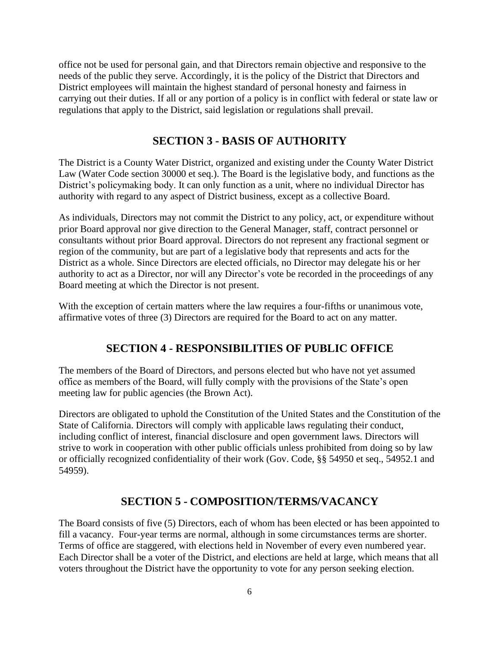office not be used for personal gain, and that Directors remain objective and responsive to the needs of the public they serve. Accordingly, it is the policy of the District that Directors and District employees will maintain the highest standard of personal honesty and fairness in carrying out their duties. If all or any portion of a policy is in conflict with federal or state law or regulations that apply to the District, said legislation or regulations shall prevail.

## **SECTION 3 - BASIS OF AUTHORITY**

<span id="page-5-0"></span>The District is a County Water District, organized and existing under the County Water District Law (Water Code section 30000 et seq.). The Board is the legislative body, and functions as the District's policymaking body. It can only function as a unit, where no individual Director has authority with regard to any aspect of District business, except as a collective Board.

As individuals, Directors may not commit the District to any policy, act, or expenditure without prior Board approval nor give direction to the General Manager, staff, contract personnel or consultants without prior Board approval. Directors do not represent any fractional segment or region of the community, but are part of a legislative body that represents and acts for the District as a whole. Since Directors are elected officials, no Director may delegate his or her authority to act as a Director, nor will any Director's vote be recorded in the proceedings of any Board meeting at which the Director is not present.

With the exception of certain matters where the law requires a four-fifths or unanimous vote, affirmative votes of three (3) Directors are required for the Board to act on any matter.

## **SECTION 4 - RESPONSIBILITIES OF PUBLIC OFFICE**

<span id="page-5-1"></span>The members of the Board of Directors, and persons elected but who have not yet assumed office as members of the Board, will fully comply with the provisions of the State's open meeting law for public agencies (the Brown Act).

Directors are obligated to uphold the Constitution of the United States and the Constitution of the State of California. Directors will comply with applicable laws regulating their conduct, including conflict of interest, financial disclosure and open government laws. Directors will strive to work in cooperation with other public officials unless prohibited from doing so by law or officially recognized confidentiality of their work (Gov. Code, §§ 54950 et seq., 54952.1 and 54959).

## **SECTION 5 - COMPOSITION/TERMS/VACANCY**

<span id="page-5-2"></span>The Board consists of five (5) Directors, each of whom has been elected or has been appointed to fill a vacancy. Four-year terms are normal, although in some circumstances terms are shorter. Terms of office are staggered, with elections held in November of every even numbered year. Each Director shall be a voter of the District, and elections are held at large, which means that all voters throughout the District have the opportunity to vote for any person seeking election.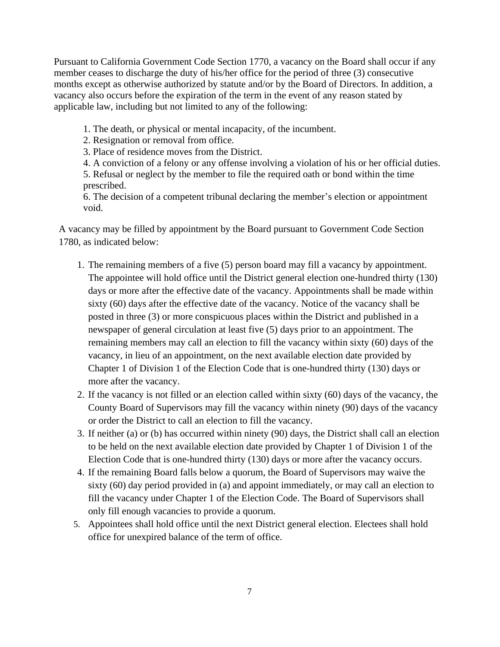Pursuant to California Government Code Section 1770, a vacancy on the Board shall occur if any member ceases to discharge the duty of his/her office for the period of three (3) consecutive months except as otherwise authorized by statute and/or by the Board of Directors. In addition, a vacancy also occurs before the expiration of the term in the event of any reason stated by applicable law, including but not limited to any of the following:

- 1. The death, or physical or mental incapacity, of the incumbent.
- 2. Resignation or removal from office.
- 3. Place of residence moves from the District.

4. A conviction of a felony or any offense involving a violation of his or her official duties. 5. Refusal or neglect by the member to file the required oath or bond within the time prescribed.

6. The decision of a competent tribunal declaring the member's election or appointment void.

A vacancy may be filled by appointment by the Board pursuant to Government Code Section 1780, as indicated below:

- 1. The remaining members of a five (5) person board may fill a vacancy by appointment. The appointee will hold office until the District general election one-hundred thirty (130) days or more after the effective date of the vacancy. Appointments shall be made within sixty (60) days after the effective date of the vacancy. Notice of the vacancy shall be posted in three (3) or more conspicuous places within the District and published in a newspaper of general circulation at least five (5) days prior to an appointment. The remaining members may call an election to fill the vacancy within sixty (60) days of the vacancy, in lieu of an appointment, on the next available election date provided by Chapter 1 of Division 1 of the Election Code that is one-hundred thirty (130) days or more after the vacancy.
- 2. If the vacancy is not filled or an election called within sixty (60) days of the vacancy, the County Board of Supervisors may fill the vacancy within ninety (90) days of the vacancy or order the District to call an election to fill the vacancy.
- 3. If neither (a) or (b) has occurred within ninety (90) days, the District shall call an election to be held on the next available election date provided by Chapter 1 of Division 1 of the Election Code that is one-hundred thirty (130) days or more after the vacancy occurs.
- 4. If the remaining Board falls below a quorum, the Board of Supervisors may waive the sixty (60) day period provided in (a) and appoint immediately, or may call an election to fill the vacancy under Chapter 1 of the Election Code. The Board of Supervisors shall only fill enough vacancies to provide a quorum.
- 5. Appointees shall hold office until the next District general election. Electees shall hold office for unexpired balance of the term of office.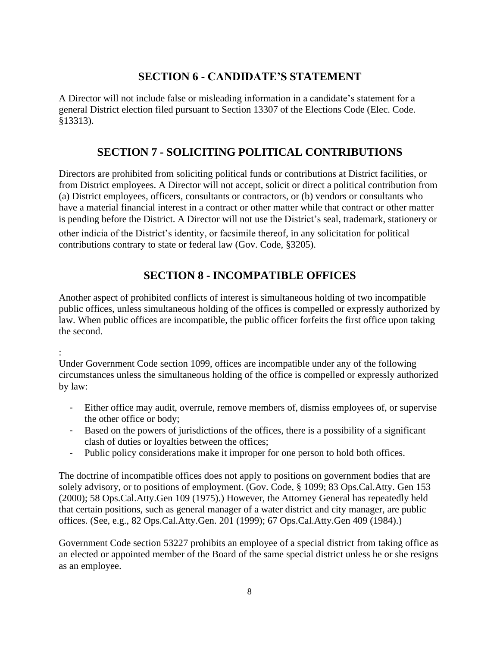# **SECTION 6 - CANDIDATE'S STATEMENT**

<span id="page-7-0"></span>A Director will not include false or misleading information in a candidate's statement for a general District election filed pursuant to Section 13307 of the Elections Code (Elec. Code. §13313).

# **SECTION 7 - SOLICITING POLITICAL CONTRIBUTIONS**

<span id="page-7-1"></span>Directors are prohibited from soliciting political funds or contributions at District facilities, or from District employees. A Director will not accept, solicit or direct a political contribution from (a) District employees, officers, consultants or contractors, or (b) vendors or consultants who have a material financial interest in a contract or other matter while that contract or other matter is pending before the District. A Director will not use the District's seal, trademark, stationery or other indicia of the District's identity, or facsimile thereof, in any solicitation for political contributions contrary to state or federal law (Gov. Code, §3205).

# **SECTION 8 - INCOMPATIBLE OFFICES**

<span id="page-7-2"></span>Another aspect of prohibited conflicts of interest is simultaneous holding of two incompatible public offices, unless simultaneous holding of the offices is compelled or expressly authorized by law. When public offices are incompatible, the public officer forfeits the first office upon taking the second.

:

Under Government Code section 1099, offices are incompatible under any of the following circumstances unless the simultaneous holding of the office is compelled or expressly authorized by law:

- Either office may audit, overrule, remove members of, dismiss employees of, or supervise the other office or body;
- Based on the powers of jurisdictions of the offices, there is a possibility of a significant clash of duties or loyalties between the offices;
- Public policy considerations make it improper for one person to hold both offices.

The doctrine of incompatible offices does not apply to positions on government bodies that are solely advisory, or to positions of employment. (Gov. Code, § 1099; 83 Ops.Cal.Atty. Gen 153 (2000); 58 Ops.Cal.Atty.Gen 109 (1975).) However, the Attorney General has repeatedly held that certain positions, such as general manager of a water district and city manager, are public offices. (See, e.g., 82 Ops.Cal.Atty.Gen. 201 (1999); 67 Ops.Cal.Atty.Gen 409 (1984).)

Government Code section 53227 prohibits an employee of a special district from taking office as an elected or appointed member of the Board of the same special district unless he or she resigns as an employee.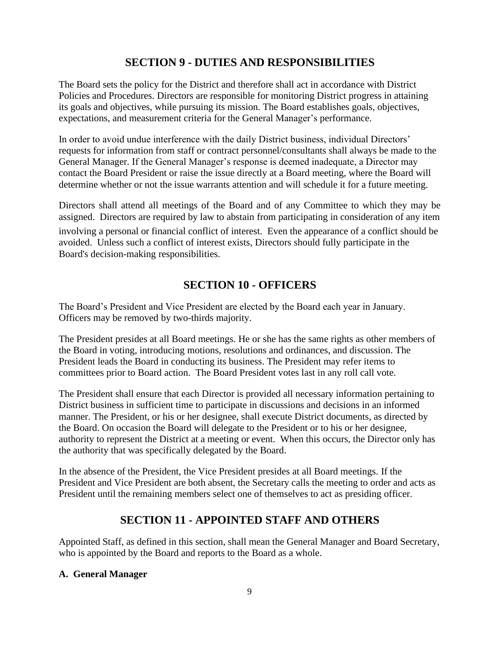# **SECTION 9 - DUTIES AND RESPONSIBILITIES**

<span id="page-8-0"></span>The Board sets the policy for the District and therefore shall act in accordance with District Policies and Procedures. Directors are responsible for monitoring District progress in attaining its goals and objectives, while pursuing its mission. The Board establishes goals, objectives, expectations, and measurement criteria for the General Manager's performance.

In order to avoid undue interference with the daily District business, individual Directors' requests for information from staff or contract personnel/consultants shall always be made to the General Manager. If the General Manager's response is deemed inadequate, a Director may contact the Board President or raise the issue directly at a Board meeting, where the Board will determine whether or not the issue warrants attention and will schedule it for a future meeting.

Directors shall attend all meetings of the Board and of any Committee to which they may be assigned. Directors are required by law to abstain from participating in consideration of any item

involving a personal or financial conflict of interest. Even the appearance of a conflict should be avoided. Unless such a conflict of interest exists, Directors should fully participate in the Board's decision-making responsibilities.

# **SECTION 10 - OFFICERS**

<span id="page-8-1"></span>The Board's President and Vice President are elected by the Board each year in January. Officers may be removed by two-thirds majority.

The President presides at all Board meetings. He or she has the same rights as other members of the Board in voting, introducing motions, resolutions and ordinances, and discussion. The President leads the Board in conducting its business. The President may refer items to committees prior to Board action. The Board President votes last in any roll call vote.

The President shall ensure that each Director is provided all necessary information pertaining to District business in sufficient time to participate in discussions and decisions in an informed manner. The President, or his or her designee, shall execute District documents, as directed by the Board. On occasion the Board will delegate to the President or to his or her designee, authority to represent the District at a meeting or event. When this occurs, the Director only has the authority that was specifically delegated by the Board.

In the absence of the President, the Vice President presides at all Board meetings. If the President and Vice President are both absent, the Secretary calls the meeting to order and acts as President until the remaining members select one of themselves to act as presiding officer.

# **SECTION 11 - APPOINTED STAFF AND OTHERS**

<span id="page-8-2"></span>Appointed Staff, as defined in this section, shall mean the General Manager and Board Secretary, who is appointed by the Board and reports to the Board as a whole.

## **A. General Manager**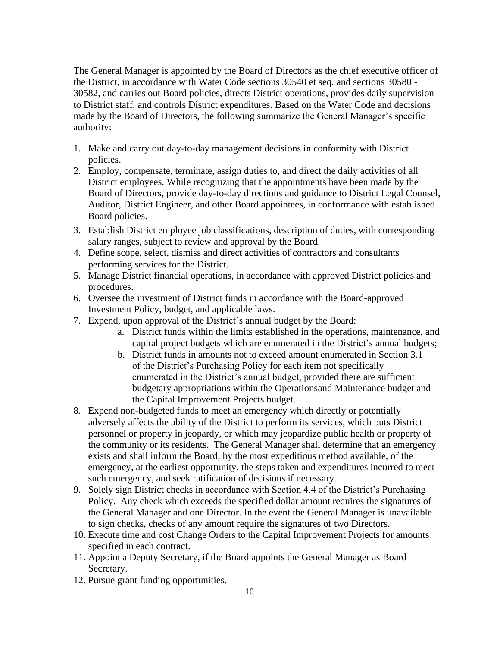The General Manager is appointed by the Board of Directors as the chief executive officer of the District, in accordance with Water Code sections 30540 et seq. and sections 30580 - 30582, and carries out Board policies, directs District operations, provides daily supervision to District staff, and controls District expenditures. Based on the Water Code and decisions made by the Board of Directors, the following summarize the General Manager's specific authority:

- 1. Make and carry out day-to-day management decisions in conformity with District policies.
- 2. Employ, compensate, terminate, assign duties to, and direct the daily activities of all District employees. While recognizing that the appointments have been made by the Board of Directors, provide day-to-day directions and guidance to District Legal Counsel, Auditor, District Engineer, and other Board appointees, in conformance with established Board policies.
- 3. Establish District employee job classifications, description of duties, with corresponding salary ranges, subject to review and approval by the Board.
- 4. Define scope, select, dismiss and direct activities of contractors and consultants performing services for the District.
- 5. Manage District financial operations, in accordance with approved District policies and procedures.
- 6. Oversee the investment of District funds in accordance with the Board-approved Investment Policy, budget, and applicable laws.
- 7. Expend, upon approval of the District's annual budget by the Board:
	- a. District funds within the limits established in the operations, maintenance, and capital project budgets which are enumerated in the District's annual budgets;
	- b. District funds in amounts not to exceed amount enumerated in Section 3.1 of the District's Purchasing Policy for each item not specifically enumerated in the District's annual budget, provided there are sufficient budgetary appropriations within the Operationsand Maintenance budget and the Capital Improvement Projects budget.
- 8. Expend non-budgeted funds to meet an emergency which directly or potentially adversely affects the ability of the District to perform its services, which puts District personnel or property in jeopardy, or which may jeopardize public health or property of the community or its residents. The General Manager shall determine that an emergency exists and shall inform the Board, by the most expeditious method available, of the emergency, at the earliest opportunity, the steps taken and expenditures incurred to meet such emergency, and seek ratification of decisions if necessary.
- 9. Solely sign District checks in accordance with Section 4.4 of the District's Purchasing Policy. Any check which exceeds the specified dollar amount requires the signatures of the General Manager and one Director. In the event the General Manager is unavailable to sign checks, checks of any amount require the signatures of two Directors.
- 10. Execute time and cost Change Orders to the Capital Improvement Projects for amounts specified in each contract.
- 11. Appoint a Deputy Secretary, if the Board appoints the General Manager as Board Secretary.
- 12. Pursue grant funding opportunities.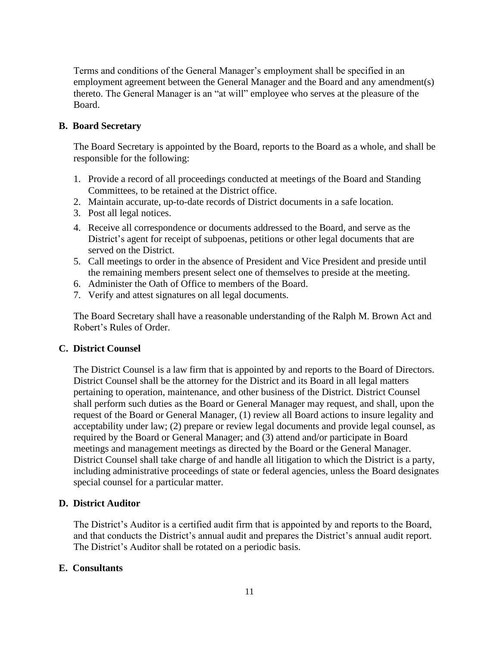Terms and conditions of the General Manager's employment shall be specified in an employment agreement between the General Manager and the Board and any amendment(s) thereto. The General Manager is an "at will" employee who serves at the pleasure of the Board.

#### **B. Board Secretary**

The Board Secretary is appointed by the Board, reports to the Board as a whole, and shall be responsible for the following:

- 1. Provide a record of all proceedings conducted at meetings of the Board and Standing Committees, to be retained at the District office.
- 2. Maintain accurate, up-to-date records of District documents in a safe location.
- 3. Post all legal notices.
- 4. Receive all correspondence or documents addressed to the Board, and serve as the District's agent for receipt of subpoenas, petitions or other legal documents that are served on the District.
- 5. Call meetings to order in the absence of President and Vice President and preside until the remaining members present select one of themselves to preside at the meeting.
- 6. Administer the Oath of Office to members of the Board.
- 7. Verify and attest signatures on all legal documents.

The Board Secretary shall have a reasonable understanding of the Ralph M. Brown Act and Robert's Rules of Order.

#### **C. District Counsel**

The District Counsel is a law firm that is appointed by and reports to the Board of Directors. District Counsel shall be the attorney for the District and its Board in all legal matters pertaining to operation, maintenance, and other business of the District. District Counsel shall perform such duties as the Board or General Manager may request, and shall, upon the request of the Board or General Manager, (1) review all Board actions to insure legality and acceptability under law; (2) prepare or review legal documents and provide legal counsel, as required by the Board or General Manager; and (3) attend and/or participate in Board meetings and management meetings as directed by the Board or the General Manager. District Counsel shall take charge of and handle all litigation to which the District is a party, including administrative proceedings of state or federal agencies, unless the Board designates special counsel for a particular matter.

#### **D. District Auditor**

The District's Auditor is a certified audit firm that is appointed by and reports to the Board, and that conducts the District's annual audit and prepares the District's annual audit report. The District's Auditor shall be rotated on a periodic basis.

#### **E. Consultants**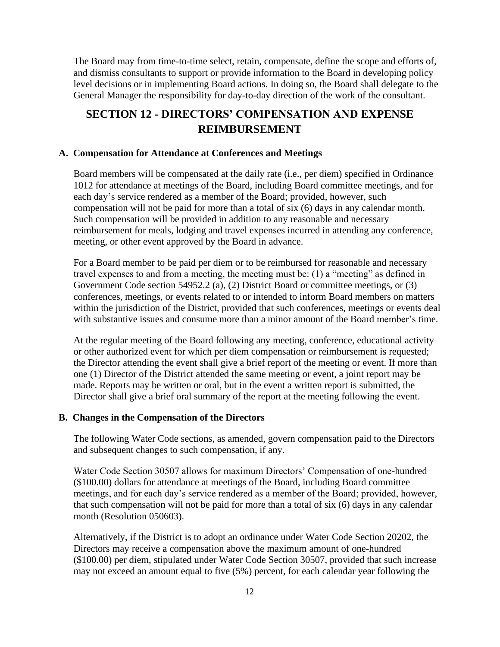The Board may from time-to-time select, retain, compensate, define the scope and efforts of, and dismiss consultants to support or provide information to the Board in developing policy level decisions or in implementing Board actions. In doing so, the Board shall delegate to the General Manager the responsibility for day-to-day direction of the work of the consultant.

# <span id="page-11-0"></span>**SECTION 12 - DIRECTORS' COMPENSATION AND EXPENSE REIMBURSEMENT**

#### **A. Compensation for Attendance at Conferences and Meetings**

Board members will be compensated at the daily rate (i.e., per diem) specified in Ordinance 1012 for attendance at meetings of the Board, including Board committee meetings, and for each day's service rendered as a member of the Board; provided, however, such compensation will not be paid for more than a total of six (6) days in any calendar month. Such compensation will be provided in addition to any reasonable and necessary reimbursement for meals, lodging and travel expenses incurred in attending any conference, meeting, or other event approved by the Board in advance.

For a Board member to be paid per diem or to be reimbursed for reasonable and necessary travel expenses to and from a meeting, the meeting must be: (1) a "meeting" as defined in Government Code section 54952.2 (a), (2) District Board or committee meetings, or (3) conferences, meetings, or events related to or intended to inform Board members on matters within the jurisdiction of the District, provided that such conferences, meetings or events deal with substantive issues and consume more than a minor amount of the Board member's time.

At the regular meeting of the Board following any meeting, conference, educational activity or other authorized event for which per diem compensation or reimbursement is requested; the Director attending the event shall give a brief report of the meeting or event. If more than one (1) Director of the District attended the same meeting or event, a joint report may be made. Reports may be written or oral, but in the event a written report is submitted, the Director shall give a brief oral summary of the report at the meeting following the event.

#### **B. Changes in the Compensation of the Directors**

The following Water Code sections, as amended, govern compensation paid to the Directors and subsequent changes to such compensation, if any.

Water Code Section 30507 allows for maximum Directors' Compensation of one-hundred (\$100.00) dollars for attendance at meetings of the Board, including Board committee meetings, and for each day's service rendered as a member of the Board; provided, however, that such compensation will not be paid for more than a total of six (6) days in any calendar month (Resolution 050603).

Alternatively, if the District is to adopt an ordinance under Water Code Section 20202, the Directors may receive a compensation above the maximum amount of one-hundred (\$100.00) per diem, stipulated under Water Code Section 30507, provided that such increase may not exceed an amount equal to five (5%) percent, for each calendar year following the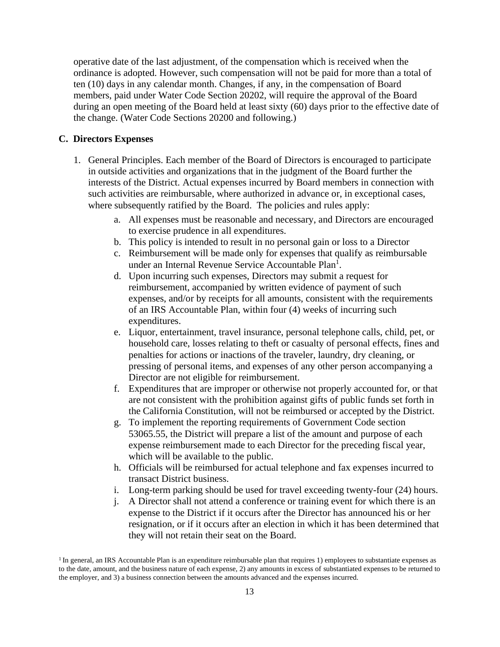operative date of the last adjustment, of the compensation which is received when the ordinance is adopted. However, such compensation will not be paid for more than a total of ten (10) days in any calendar month. Changes, if any, in the compensation of Board members, paid under Water Code Section 20202, will require the approval of the Board during an open meeting of the Board held at least sixty (60) days prior to the effective date of the change. (Water Code Sections 20200 and following.)

#### **C. Directors Expenses**

- 1. General Principles. Each member of the Board of Directors is encouraged to participate in outside activities and organizations that in the judgment of the Board further the interests of the District. Actual expenses incurred by Board members in connection with such activities are reimbursable, where authorized in advance or, in exceptional cases, where subsequently ratified by the Board. The policies and rules apply:
	- a. All expenses must be reasonable and necessary, and Directors are encouraged to exercise prudence in all expenditures.
	- b. This policy is intended to result in no personal gain or loss to a Director
	- c. Reimbursement will be made only for expenses that qualify as reimbursable under an Internal Revenue Service Accountable Plan<sup>[1](#page-13-2)</sup>.
	- d. Upon incurring such expenses, Directors may submit a request for reimbursement, accompanied by written evidence of payment of such expenses, and/or by receipts for all amounts, consistent with the requirements of an IRS Accountable Plan, within four (4) weeks of incurring such expenditures.
	- e. Liquor, entertainment, travel insurance, personal telephone calls, child, pet, or household care, losses relating to theft or casualty of personal effects, fines and penalties for actions or inactions of the traveler, laundry, dry cleaning, or pressing of personal items, and expenses of any other person accompanying a Director are not eligible for reimbursement.
	- f. Expenditures that are improper or otherwise not properly accounted for, or that are not consistent with the prohibition against gifts of public funds set forth in the California Constitution, will not be reimbursed or accepted by the District.
	- g. To implement the reporting requirements of Government Code section 53065.55, the District will prepare a list of the amount and purpose of each expense reimbursement made to each Director for the preceding fiscal year, which will be available to the public.
	- h. Officials will be reimbursed for actual telephone and fax expenses incurred to transact District business.
	- i. Long-term parking should be used for travel exceeding twenty-four (24) hours.
	- j. A Director shall not attend a conference or training event for which there is an expense to the District if it occurs after the Director has announced his or her resignation, or if it occurs after an election in which it has been determined that they will not retain their seat on the Board.

<sup>&</sup>lt;sup>1</sup> In general, an IRS Accountable Plan is an expenditure reimbursable plan that requires 1) employees to substantiate expenses as to the date, amount, and the business nature of each expense, 2) any amounts in excess of substantiated expenses to be returned to the employer, and 3) a business connection between the amounts advanced and the expenses incurred.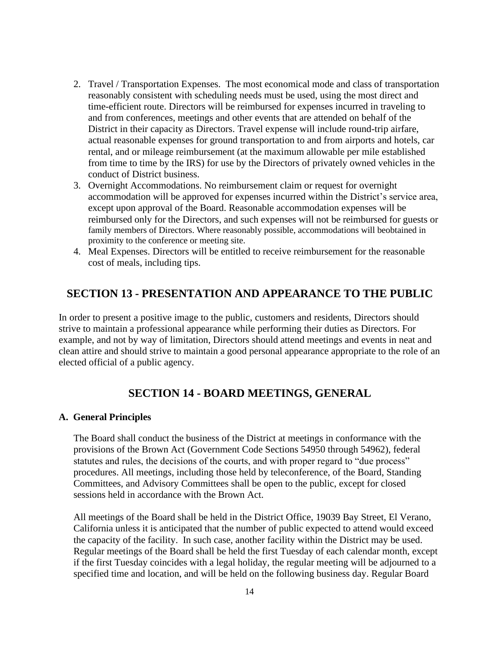- 2. Travel / Transportation Expenses. The most economical mode and class of transportation reasonably consistent with scheduling needs must be used, using the most direct and time-efficient route. Directors will be reimbursed for expenses incurred in traveling to and from conferences, meetings and other events that are attended on behalf of the District in their capacity as Directors. Travel expense will include round-trip airfare, actual reasonable expenses for ground transportation to and from airports and hotels, car rental, and or mileage reimbursement (at the maximum allowable per mile established from time to time by the IRS) for use by the Directors of privately owned vehicles in the conduct of District business.
- 3. Overnight Accommodations. No reimbursement claim or request for overnight accommodation will be approved for expenses incurred within the District's service area, except upon approval of the Board. Reasonable accommodation expenses will be reimbursed only for the Directors, and such expenses will not be reimbursed for guests or family members of Directors. Where reasonably possible, accommodations will beobtained in proximity to the conference or meeting site.
- 4. Meal Expenses. Directors will be entitled to receive reimbursement for the reasonable cost of meals, including tips.

# <span id="page-13-0"></span>**SECTION 13 - PRESENTATION AND APPEARANCE TO THE PUBLIC**

In order to present a positive image to the public, customers and residents, Directors should strive to maintain a professional appearance while performing their duties as Directors. For example, and not by way of limitation, Directors should attend meetings and events in neat and clean attire and should strive to maintain a good personal appearance appropriate to the role of an elected official of a public agency.

## <span id="page-13-2"></span>**SECTION 14 - BOARD MEETINGS, GENERAL**

#### <span id="page-13-1"></span>**A. General Principles**

The Board shall conduct the business of the District at meetings in conformance with the provisions of the Brown Act (Government Code Sections 54950 through 54962), federal statutes and rules, the decisions of the courts, and with proper regard to "due process" procedures. All meetings, including those held by teleconference, of the Board, Standing Committees, and Advisory Committees shall be open to the public, except for closed sessions held in accordance with the Brown Act.

All meetings of the Board shall be held in the District Office, 19039 Bay Street, El Verano, California unless it is anticipated that the number of public expected to attend would exceed the capacity of the facility. In such case, another facility within the District may be used. Regular meetings of the Board shall be held the first Tuesday of each calendar month, except if the first Tuesday coincides with a legal holiday, the regular meeting will be adjourned to a specified time and location, and will be held on the following business day. Regular Board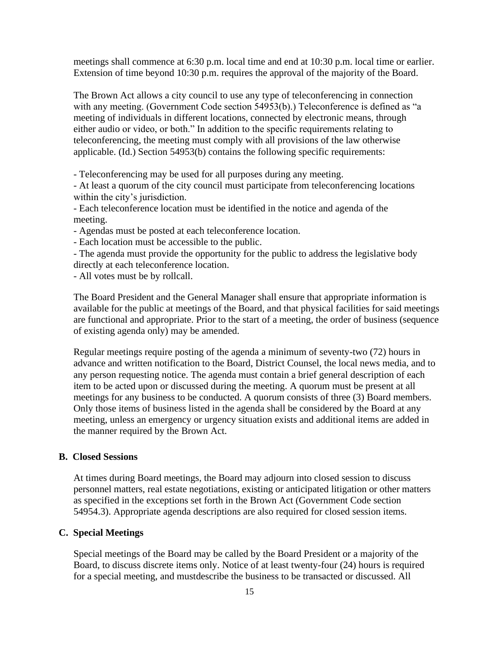meetings shall commence at 6:30 p.m. local time and end at 10:30 p.m. local time or earlier. Extension of time beyond 10:30 p.m. requires the approval of the majority of the Board.

The Brown Act allows a city council to use any type of teleconferencing in connection with any meeting. (Government Code section 54953(b).) Teleconference is defined as "a meeting of individuals in different locations, connected by electronic means, through either audio or video, or both." In addition to the specific requirements relating to teleconferencing, the meeting must comply with all provisions of the law otherwise applicable. (Id.) Section 54953(b) contains the following specific requirements:

- Teleconferencing may be used for all purposes during any meeting.

- At least a quorum of the city council must participate from teleconferencing locations within the city's jurisdiction.

- Each teleconference location must be identified in the notice and agenda of the meeting.

- Agendas must be posted at each teleconference location.

- Each location must be accessible to the public.

- The agenda must provide the opportunity for the public to address the legislative body directly at each teleconference location.

- All votes must be by rollcall.

The Board President and the General Manager shall ensure that appropriate information is available for the public at meetings of the Board, and that physical facilities for said meetings are functional and appropriate. Prior to the start of a meeting, the order of business (sequence of existing agenda only) may be amended.

Regular meetings require posting of the agenda a minimum of seventy-two (72) hours in advance and written notification to the Board, District Counsel, the local news media, and to any person requesting notice. The agenda must contain a brief general description of each item to be acted upon or discussed during the meeting. A quorum must be present at all meetings for any business to be conducted. A quorum consists of three (3) Board members. Only those items of business listed in the agenda shall be considered by the Board at any meeting, unless an emergency or urgency situation exists and additional items are added in the manner required by the Brown Act.

#### **B. Closed Sessions**

At times during Board meetings, the Board may adjourn into closed session to discuss personnel matters, real estate negotiations, existing or anticipated litigation or other matters as specified in the exceptions set forth in the Brown Act (Government Code section 54954.3). Appropriate agenda descriptions are also required for closed session items.

#### **C. Special Meetings**

Special meetings of the Board may be called by the Board President or a majority of the Board, to discuss discrete items only. Notice of at least twenty-four (24) hours is required for a special meeting, and mustdescribe the business to be transacted or discussed. All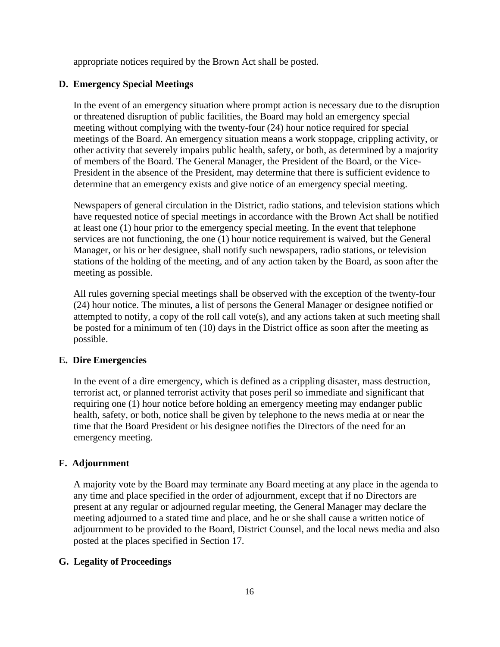appropriate notices required by the Brown Act shall be posted.

#### **D. Emergency Special Meetings**

In the event of an emergency situation where prompt action is necessary due to the disruption or threatened disruption of public facilities, the Board may hold an emergency special meeting without complying with the twenty-four (24) hour notice required for special meetings of the Board. An emergency situation means a work stoppage, crippling activity, or other activity that severely impairs public health, safety, or both, as determined by a majority of members of the Board. The General Manager, the President of the Board, or the Vice-President in the absence of the President, may determine that there is sufficient evidence to determine that an emergency exists and give notice of an emergency special meeting.

Newspapers of general circulation in the District, radio stations, and television stations which have requested notice of special meetings in accordance with the Brown Act shall be notified at least one (1) hour prior to the emergency special meeting. In the event that telephone services are not functioning, the one (1) hour notice requirement is waived, but the General Manager, or his or her designee, shall notify such newspapers, radio stations, or television stations of the holding of the meeting, and of any action taken by the Board, as soon after the meeting as possible.

All rules governing special meetings shall be observed with the exception of the twenty-four (24) hour notice. The minutes, a list of persons the General Manager or designee notified or attempted to notify, a copy of the roll call vote(s), and any actions taken at such meeting shall be posted for a minimum of ten (10) days in the District office as soon after the meeting as possible.

#### **E. Dire Emergencies**

In the event of a dire emergency, which is defined as a crippling disaster, mass destruction, terrorist act, or planned terrorist activity that poses peril so immediate and significant that requiring one (1) hour notice before holding an emergency meeting may endanger public health, safety, or both, notice shall be given by telephone to the news media at or near the time that the Board President or his designee notifies the Directors of the need for an emergency meeting.

## **F. Adjournment**

A majority vote by the Board may terminate any Board meeting at any place in the agenda to any time and place specified in the order of adjournment, except that if no Directors are present at any regular or adjourned regular meeting, the General Manager may declare the meeting adjourned to a stated time and place, and he or she shall cause a written notice of adjournment to be provided to the Board, District Counsel, and the local news media and also posted at the places specified in Section 17.

## **G. Legality of Proceedings**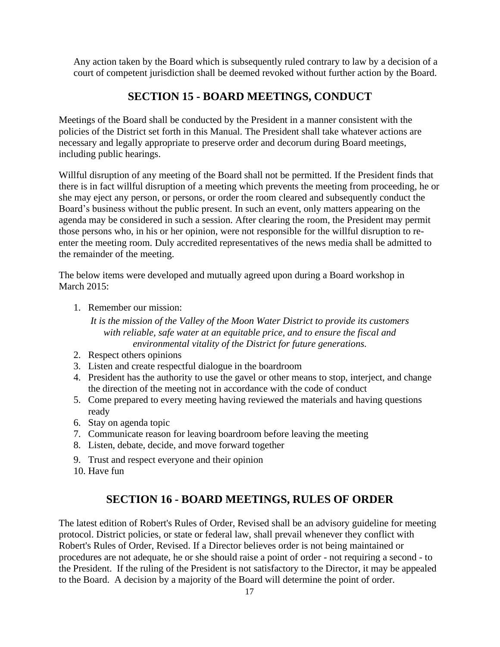Any action taken by the Board which is subsequently ruled contrary to law by a decision of a court of competent jurisdiction shall be deemed revoked without further action by the Board.

# **SECTION 15 - BOARD MEETINGS, CONDUCT**

<span id="page-16-0"></span>Meetings of the Board shall be conducted by the President in a manner consistent with the policies of the District set forth in this Manual. The President shall take whatever actions are necessary and legally appropriate to preserve order and decorum during Board meetings, including public hearings.

Willful disruption of any meeting of the Board shall not be permitted. If the President finds that there is in fact willful disruption of a meeting which prevents the meeting from proceeding, he or she may eject any person, or persons, or order the room cleared and subsequently conduct the Board's business without the public present. In such an event, only matters appearing on the agenda may be considered in such a session. After clearing the room, the President may permit those persons who, in his or her opinion, were not responsible for the willful disruption to reenter the meeting room. Duly accredited representatives of the news media shall be admitted to the remainder of the meeting.

The below items were developed and mutually agreed upon during a Board workshop in March 2015:

1. Remember our mission:

*It is the mission of the Valley of the Moon Water District to provide its customers with reliable, safe water at an equitable price, and to ensure the fiscal and environmental vitality of the District for future generations.*

- 2. Respect others opinions
- 3. Listen and create respectful dialogue in the boardroom
- 4. President has the authority to use the gavel or other means to stop, interject, and change the direction of the meeting not in accordance with the code of conduct
- 5. Come prepared to every meeting having reviewed the materials and having questions ready
- 6. Stay on agenda topic
- 7. Communicate reason for leaving boardroom before leaving the meeting
- 8. Listen, debate, decide, and move forward together
- 9. Trust and respect everyone and their opinion
- 10. Have fun

## **SECTION 16 - BOARD MEETINGS, RULES OF ORDER**

<span id="page-16-1"></span>The latest edition of Robert's Rules of Order, Revised shall be an advisory guideline for meeting protocol. District policies, or state or federal law, shall prevail whenever they conflict with Robert's Rules of Order, Revised. If a Director believes order is not being maintained or procedures are not adequate, he or she should raise a point of order - not requiring a second - to the President. If the ruling of the President is not satisfactory to the Director, it may be appealed to the Board. A decision by a majority of the Board will determine the point of order.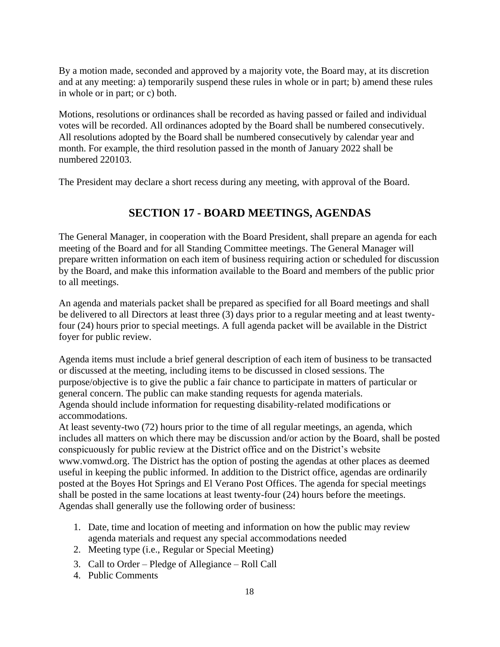By a motion made, seconded and approved by a majority vote, the Board may, at its discretion and at any meeting: a) temporarily suspend these rules in whole or in part; b) amend these rules in whole or in part; or c) both.

Motions, resolutions or ordinances shall be recorded as having passed or failed and individual votes will be recorded. All ordinances adopted by the Board shall be numbered consecutively. All resolutions adopted by the Board shall be numbered consecutively by calendar year and month. For example, the third resolution passed in the month of January 2022 shall be numbered 220103.

<span id="page-17-0"></span>The President may declare a short recess during any meeting, with approval of the Board.

# **SECTION 17 - BOARD MEETINGS, AGENDAS**

The General Manager, in cooperation with the Board President, shall prepare an agenda for each meeting of the Board and for all Standing Committee meetings. The General Manager will prepare written information on each item of business requiring action or scheduled for discussion by the Board, and make this information available to the Board and members of the public prior to all meetings.

An agenda and materials packet shall be prepared as specified for all Board meetings and shall be delivered to all Directors at least three (3) days prior to a regular meeting and at least twentyfour (24) hours prior to special meetings. A full agenda packet will be available in the District foyer for public review.

Agenda items must include a brief general description of each item of business to be transacted or discussed at the meeting, including items to be discussed in closed sessions. The purpose/objective is to give the public a fair chance to participate in matters of particular or general concern. The public can make standing requests for agenda materials. Agenda should include information for requesting disability-related modifications or accommodations.

At least seventy-two (72) hours prior to the time of all regular meetings, an agenda, which includes all matters on which there may be discussion and/or action by the Board, shall be posted conspicuously for public review at the District office and on the District's website www.vomwd.org. The District has the option of posting the agendas at other places as deemed useful in keeping the public informed. In addition to the District office, agendas are ordinarily posted at the Boyes Hot Springs and El Verano Post Offices. The agenda for special meetings shall be posted in the same locations at least twenty-four (24) hours before the meetings. Agendas shall generally use the following order of business:

- 1. Date, time and location of meeting and information on how the public may review agenda materials and request any special accommodations needed
- 2. Meeting type (i.e., Regular or Special Meeting)
- 3. Call to Order Pledge of Allegiance Roll Call
- 4. Public Comments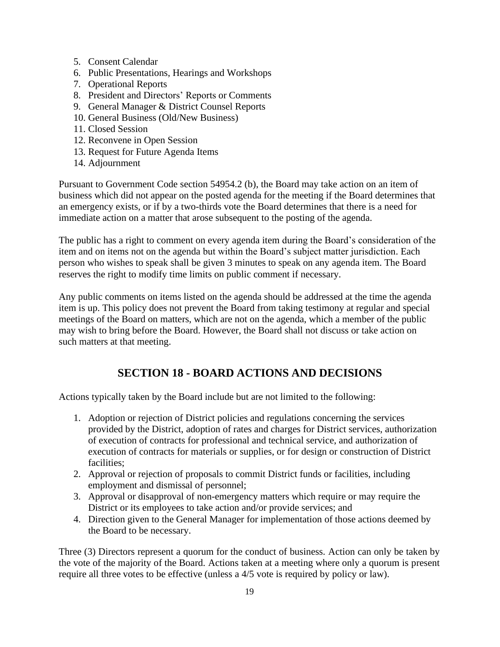- 5. Consent Calendar
- 6. Public Presentations, Hearings and Workshops
- 7. Operational Reports
- 8. President and Directors' Reports or Comments
- 9. General Manager & District Counsel Reports
- 10. General Business (Old/New Business)
- 11. Closed Session
- 12. Reconvene in Open Session
- 13. Request for Future Agenda Items
- 14. Adjournment

Pursuant to Government Code section 54954.2 (b), the Board may take action on an item of business which did not appear on the posted agenda for the meeting if the Board determines that an emergency exists, or if by a two-thirds vote the Board determines that there is a need for immediate action on a matter that arose subsequent to the posting of the agenda.

The public has a right to comment on every agenda item during the Board's consideration of the item and on items not on the agenda but within the Board's subject matter jurisdiction. Each person who wishes to speak shall be given 3 minutes to speak on any agenda item. The Board reserves the right to modify time limits on public comment if necessary.

Any public comments on items listed on the agenda should be addressed at the time the agenda item is up. This policy does not prevent the Board from taking testimony at regular and special meetings of the Board on matters, which are not on the agenda, which a member of the public may wish to bring before the Board. However, the Board shall not discuss or take action on such matters at that meeting.

# **SECTION 18 - BOARD ACTIONS AND DECISIONS**

<span id="page-18-0"></span>Actions typically taken by the Board include but are not limited to the following:

- 1. Adoption or rejection of District policies and regulations concerning the services provided by the District, adoption of rates and charges for District services, authorization of execution of contracts for professional and technical service, and authorization of execution of contracts for materials or supplies, or for design or construction of District facilities;
- 2. Approval or rejection of proposals to commit District funds or facilities, including employment and dismissal of personnel;
- 3. Approval or disapproval of non-emergency matters which require or may require the District or its employees to take action and/or provide services; and
- 4. Direction given to the General Manager for implementation of those actions deemed by the Board to be necessary.

Three (3) Directors represent a quorum for the conduct of business. Action can only be taken by the vote of the majority of the Board. Actions taken at a meeting where only a quorum is present require all three votes to be effective (unless a 4/5 vote is required by policy or law).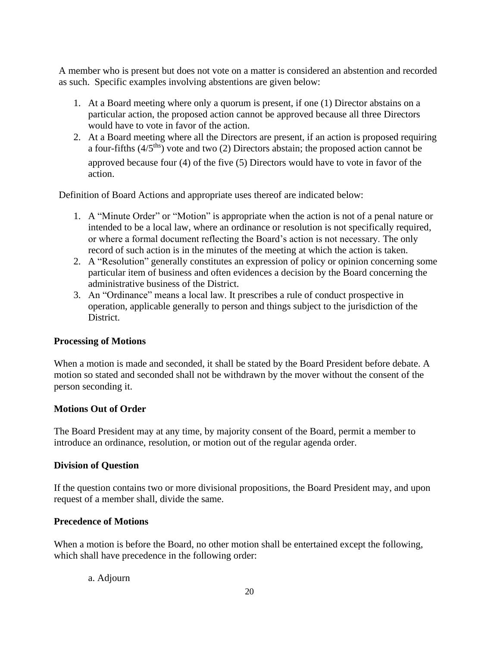A member who is present but does not vote on a matter is considered an abstention and recorded as such. Specific examples involving abstentions are given below:

- 1. At a Board meeting where only a quorum is present, if one (1) Director abstains on a particular action, the proposed action cannot be approved because all three Directors would have to vote in favor of the action.
- 2. At a Board meeting where all the Directors are present, if an action is proposed requiring a four-fifths  $(4/5<sup>ths</sup>)$  vote and two (2) Directors abstain; the proposed action cannot be approved because four (4) of the five (5) Directors would have to vote in favor of the action.

Definition of Board Actions and appropriate uses thereof are indicated below:

- 1. A "Minute Order" or "Motion" is appropriate when the action is not of a penal nature or intended to be a local law, where an ordinance or resolution is not specifically required, or where a formal document reflecting the Board's action is not necessary. The only record of such action is in the minutes of the meeting at which the action is taken.
- 2. A "Resolution" generally constitutes an expression of policy or opinion concerning some particular item of business and often evidences a decision by the Board concerning the administrative business of the District.
- 3. An "Ordinance" means a local law. It prescribes a rule of conduct prospective in operation, applicable generally to person and things subject to the jurisdiction of the District.

## **Processing of Motions**

When a motion is made and seconded, it shall be stated by the Board President before debate. A motion so stated and seconded shall not be withdrawn by the mover without the consent of the person seconding it.

## **Motions Out of Order**

The Board President may at any time, by majority consent of the Board, permit a member to introduce an ordinance, resolution, or motion out of the regular agenda order.

#### **Division of Question**

If the question contains two or more divisional propositions, the Board President may, and upon request of a member shall, divide the same.

## **Precedence of Motions**

When a motion is before the Board, no other motion shall be entertained except the following, which shall have precedence in the following order:

#### a. Adjourn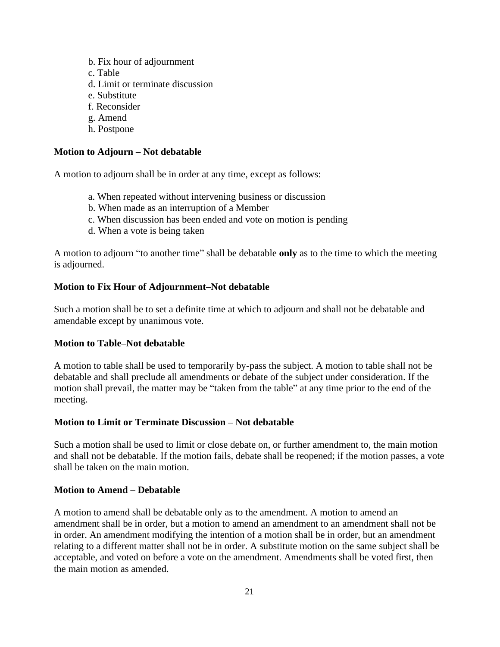- b. Fix hour of adjournment
- c. Table
- d. Limit or terminate discussion
- e. Substitute
- f. Reconsider
- g. Amend
- h. Postpone

## **Motion to Adjourn – Not debatable**

A motion to adjourn shall be in order at any time, except as follows:

- a. When repeated without intervening business or discussion
- b. When made as an interruption of a Member
- c. When discussion has been ended and vote on motion is pending
- d. When a vote is being taken

A motion to adjourn "to another time" shall be debatable **only** as to the time to which the meeting is adjourned.

## **Motion to Fix Hour of Adjournment–Not debatable**

Such a motion shall be to set a definite time at which to adjourn and shall not be debatable and amendable except by unanimous vote.

## **Motion to Table–Not debatable**

A motion to table shall be used to temporarily by-pass the subject. A motion to table shall not be debatable and shall preclude all amendments or debate of the subject under consideration. If the motion shall prevail, the matter may be "taken from the table" at any time prior to the end of the meeting.

## **Motion to Limit or Terminate Discussion – Not debatable**

Such a motion shall be used to limit or close debate on, or further amendment to, the main motion and shall not be debatable. If the motion fails, debate shall be reopened; if the motion passes, a vote shall be taken on the main motion.

## **Motion to Amend – Debatable**

A motion to amend shall be debatable only as to the amendment. A motion to amend an amendment shall be in order, but a motion to amend an amendment to an amendment shall not be in order. An amendment modifying the intention of a motion shall be in order, but an amendment relating to a different matter shall not be in order. A substitute motion on the same subject shall be acceptable, and voted on before a vote on the amendment. Amendments shall be voted first, then the main motion as amended.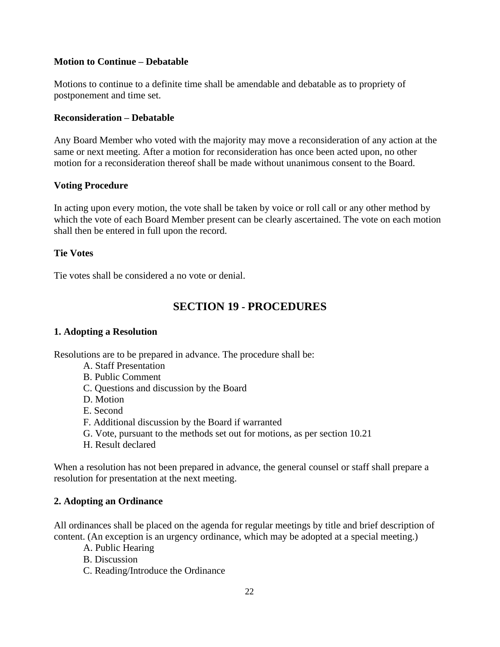## **Motion to Continue – Debatable**

Motions to continue to a definite time shall be amendable and debatable as to propriety of postponement and time set.

## **Reconsideration – Debatable**

Any Board Member who voted with the majority may move a reconsideration of any action at the same or next meeting. After a motion for reconsideration has once been acted upon, no other motion for a reconsideration thereof shall be made without unanimous consent to the Board.

## **Voting Procedure**

In acting upon every motion, the vote shall be taken by voice or roll call or any other method by which the vote of each Board Member present can be clearly ascertained. The vote on each motion shall then be entered in full upon the record.

#### **Tie Votes**

<span id="page-21-0"></span>Tie votes shall be considered a no vote or denial.

# **SECTION 19 - PROCEDURES**

## **1. Adopting a Resolution**

Resolutions are to be prepared in advance. The procedure shall be:

- A. Staff Presentation
- B. Public Comment
- C. Questions and discussion by the Board
- D. Motion
- E. Second
- F. Additional discussion by the Board if warranted
- G. Vote, pursuant to the methods set out for motions, as per section 10.21
- H. Result declared

When a resolution has not been prepared in advance, the general counsel or staff shall prepare a resolution for presentation at the next meeting.

## **2. Adopting an Ordinance**

All ordinances shall be placed on the agenda for regular meetings by title and brief description of content. (An exception is an urgency ordinance, which may be adopted at a special meeting.)

- A. Public Hearing
- B. Discussion
- C. Reading/Introduce the Ordinance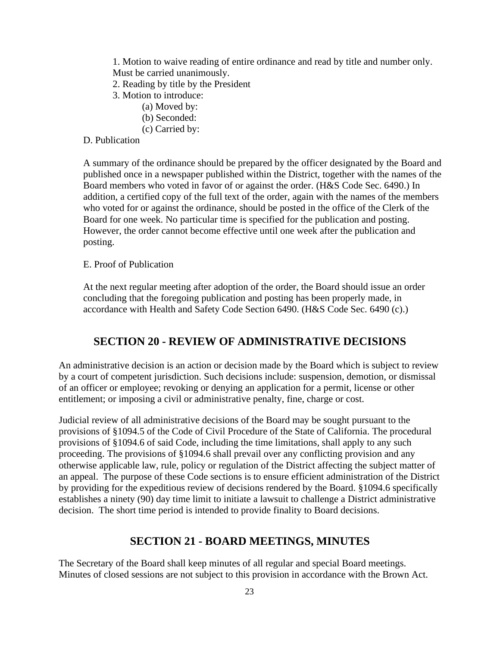1. Motion to waive reading of entire ordinance and read by title and number only. Must be carried unanimously.

- 2. Reading by title by the President
- 3. Motion to introduce:
	- (a) Moved by:
	- (b) Seconded:
	- (c) Carried by:

## D. Publication

A summary of the ordinance should be prepared by the officer designated by the Board and published once in a newspaper published within the District, together with the names of the Board members who voted in favor of or against the order. (H&S Code Sec. 6490.) In addition, a certified copy of the full text of the order, again with the names of the members who voted for or against the ordinance, should be posted in the office of the Clerk of the Board for one week. No particular time is specified for the publication and posting. However, the order cannot become effective until one week after the publication and posting.

#### E. Proof of Publication

At the next regular meeting after adoption of the order, the Board should issue an order concluding that the foregoing publication and posting has been properly made, in accordance with Health and Safety Code Section 6490. (H&S Code Sec. 6490 (c).)

## **SECTION 20 - REVIEW OF ADMINISTRATIVE DECISIONS**

<span id="page-22-0"></span>An administrative decision is an action or decision made by the Board which is subject to review by a court of competent jurisdiction. Such decisions include: suspension, demotion, or dismissal of an officer or employee; revoking or denying an application for a permit, license or other entitlement; or imposing a civil or administrative penalty, fine, charge or cost.

Judicial review of all administrative decisions of the Board may be sought pursuant to the provisions of §1094.5 of the Code of Civil Procedure of the State of California. The procedural provisions of §1094.6 of said Code, including the time limitations, shall apply to any such proceeding. The provisions of §1094.6 shall prevail over any conflicting provision and any otherwise applicable law, rule, policy or regulation of the District affecting the subject matter of an appeal. The purpose of these Code sections is to ensure efficient administration of the District by providing for the expeditious review of decisions rendered by the Board. §1094.6 specifically establishes a ninety (90) day time limit to initiate a lawsuit to challenge a District administrative decision. The short time period is intended to provide finality to Board decisions.

#### **SECTION 21 - BOARD MEETINGS, MINUTES**

<span id="page-22-1"></span>The Secretary of the Board shall keep minutes of all regular and special Board meetings. Minutes of closed sessions are not subject to this provision in accordance with the Brown Act.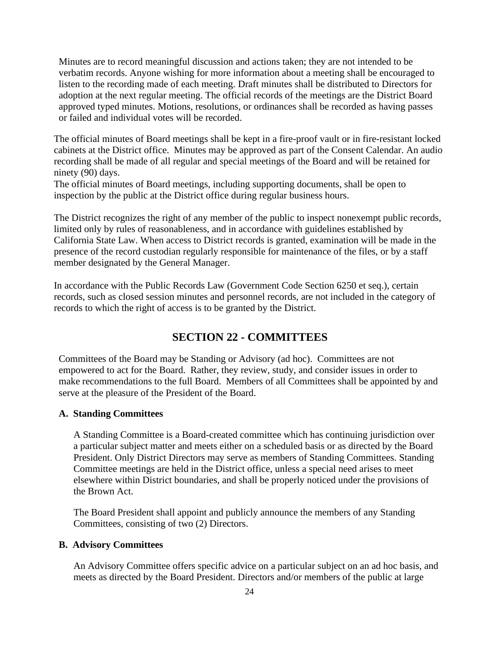Minutes are to record meaningful discussion and actions taken; they are not intended to be verbatim records. Anyone wishing for more information about a meeting shall be encouraged to listen to the recording made of each meeting. Draft minutes shall be distributed to Directors for adoption at the next regular meeting. The official records of the meetings are the District Board approved typed minutes. Motions, resolutions, or ordinances shall be recorded as having passes or failed and individual votes will be recorded.

The official minutes of Board meetings shall be kept in a fire-proof vault or in fire-resistant locked cabinets at the District office. Minutes may be approved as part of the Consent Calendar. An audio recording shall be made of all regular and special meetings of the Board and will be retained for ninety (90) days.

The official minutes of Board meetings, including supporting documents, shall be open to inspection by the public at the District office during regular business hours.

The District recognizes the right of any member of the public to inspect nonexempt public records, limited only by rules of reasonableness, and in accordance with guidelines established by California State Law. When access to District records is granted, examination will be made in the presence of the record custodian regularly responsible for maintenance of the files, or by a staff member designated by the General Manager.

In accordance with the Public Records Law (Government Code Section 6250 et seq.), certain records, such as closed session minutes and personnel records, are not included in the category of records to which the right of access is to be granted by the District.

# **SECTION 22 - COMMITTEES**

<span id="page-23-0"></span>Committees of the Board may be Standing or Advisory (ad hoc). Committees are not empowered to act for the Board. Rather, they review, study, and consider issues in order to make recommendations to the full Board. Members of all Committees shall be appointed by and serve at the pleasure of the President of the Board.

## **A. Standing Committees**

A Standing Committee is a Board-created committee which has continuing jurisdiction over a particular subject matter and meets either on a scheduled basis or as directed by the Board President. Only District Directors may serve as members of Standing Committees. Standing Committee meetings are held in the District office, unless a special need arises to meet elsewhere within District boundaries, and shall be properly noticed under the provisions of the Brown Act.

The Board President shall appoint and publicly announce the members of any Standing Committees, consisting of two (2) Directors.

#### **B. Advisory Committees**

An Advisory Committee offers specific advice on a particular subject on an ad hoc basis, and meets as directed by the Board President. Directors and/or members of the public at large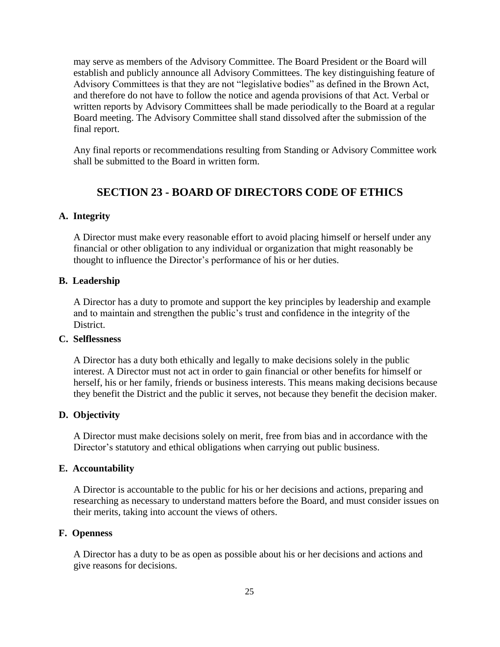may serve as members of the Advisory Committee. The Board President or the Board will establish and publicly announce all Advisory Committees. The key distinguishing feature of Advisory Committees is that they are not "legislative bodies" as defined in the Brown Act, and therefore do not have to follow the notice and agenda provisions of that Act. Verbal or written reports by Advisory Committees shall be made periodically to the Board at a regular Board meeting. The Advisory Committee shall stand dissolved after the submission of the final report.

Any final reports or recommendations resulting from Standing or Advisory Committee work shall be submitted to the Board in written form.

# **SECTION 23 - BOARD OF DIRECTORS CODE OF ETHICS**

#### <span id="page-24-0"></span>**A. Integrity**

A Director must make every reasonable effort to avoid placing himself or herself under any financial or other obligation to any individual or organization that might reasonably be thought to influence the Director's performance of his or her duties.

#### **B. Leadership**

A Director has a duty to promote and support the key principles by leadership and example and to maintain and strengthen the public's trust and confidence in the integrity of the District.

#### **C. Selflessness**

A Director has a duty both ethically and legally to make decisions solely in the public interest. A Director must not act in order to gain financial or other benefits for himself or herself, his or her family, friends or business interests. This means making decisions because they benefit the District and the public it serves, not because they benefit the decision maker.

#### **D. Objectivity**

A Director must make decisions solely on merit, free from bias and in accordance with the Director's statutory and ethical obligations when carrying out public business.

#### **E. Accountability**

A Director is accountable to the public for his or her decisions and actions, preparing and researching as necessary to understand matters before the Board, and must consider issues on their merits, taking into account the views of others.

#### **F. Openness**

A Director has a duty to be as open as possible about his or her decisions and actions and give reasons for decisions.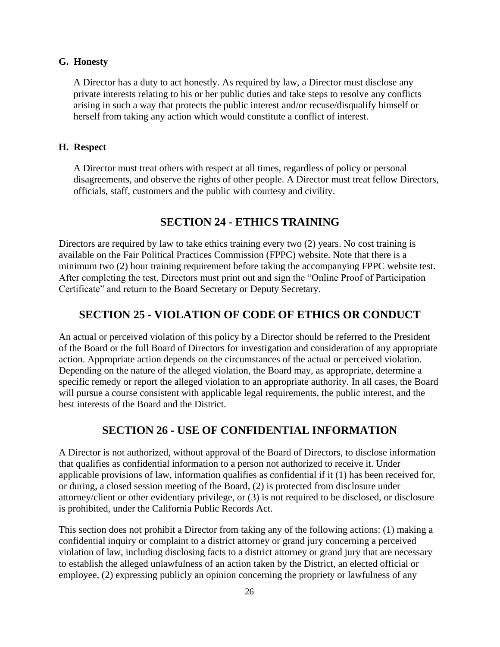#### **G. Honesty**

A Director has a duty to act honestly. As required by law, a Director must disclose any private interests relating to his or her public duties and take steps to resolve any conflicts arising in such a way that protects the public interest and/or recuse/disqualify himself or herself from taking any action which would constitute a conflict of interest.

#### **H. Respect**

A Director must treat others with respect at all times, regardless of policy or personal disagreements, and observe the rights of other people. A Director must treat fellow Directors, officials, staff, customers and the public with courtesy and civility.

# **SECTION 24 - ETHICS TRAINING**

<span id="page-25-0"></span>Directors are required by law to take ethics training every two (2) years. No cost training is available on the Fair Political Practices Commission (FPPC) website. Note that there is a minimum two (2) hour training requirement before taking the accompanying FPPC website test. After completing the test, Directors must print out and sign the "Online Proof of Participation Certificate" and return to the Board Secretary or Deputy Secretary.

## <span id="page-25-1"></span>**SECTION 25 - VIOLATION OF CODE OF ETHICS OR CONDUCT**

An actual or perceived violation of this policy by a Director should be referred to the President of the Board or the full Board of Directors for investigation and consideration of any appropriate action. Appropriate action depends on the circumstances of the actual or perceived violation. Depending on the nature of the alleged violation, the Board may, as appropriate, determine a specific remedy or report the alleged violation to an appropriate authority. In all cases, the Board will pursue a course consistent with applicable legal requirements, the public interest, and the best interests of the Board and the District.

## **SECTION 26 - USE OF CONFIDENTIAL INFORMATION**

<span id="page-25-2"></span>A Director is not authorized, without approval of the Board of Directors, to disclose information that qualifies as confidential information to a person not authorized to receive it. Under applicable provisions of law, information qualifies as confidential if it (1) has been received for, or during, a closed session meeting of the Board, (2) is protected from disclosure under attorney/client or other evidentiary privilege, or (3) is not required to be disclosed, or disclosure is prohibited, under the California Public Records Act.

This section does not prohibit a Director from taking any of the following actions: (1) making a confidential inquiry or complaint to a district attorney or grand jury concerning a perceived violation of law, including disclosing facts to a district attorney or grand jury that are necessary to establish the alleged unlawfulness of an action taken by the District, an elected official or employee, (2) expressing publicly an opinion concerning the propriety or lawfulness of any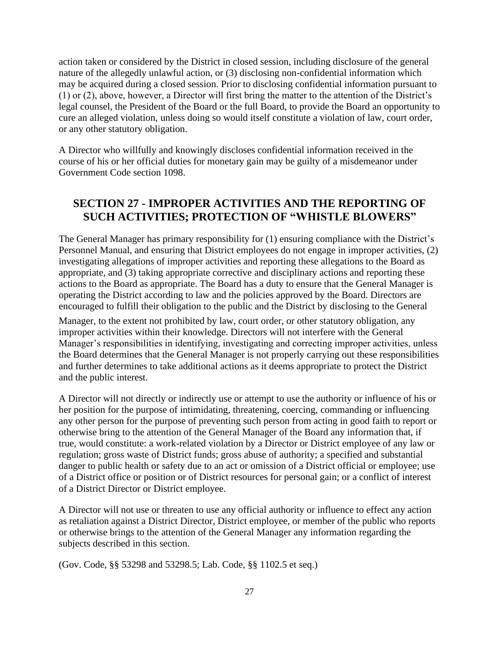action taken or considered by the District in closed session, including disclosure of the general nature of the allegedly unlawful action, or (3) disclosing non-confidential information which may be acquired during a closed session. Prior to disclosing confidential information pursuant to (1) or (2), above, however, a Director will first bring the matter to the attention of the District's legal counsel, the President of the Board or the full Board, to provide the Board an opportunity to cure an alleged violation, unless doing so would itself constitute a violation of law, court order, or any other statutory obligation.

A Director who willfully and knowingly discloses confidential information received in the course of his or her official duties for monetary gain may be guilty of a misdemeanor under Government Code section 1098.

# <span id="page-26-0"></span>**SECTION 27 - IMPROPER ACTIVITIES AND THE REPORTING OF SUCH ACTIVITIES; PROTECTION OF "WHISTLE BLOWERS"**

The General Manager has primary responsibility for (1) ensuring compliance with the District's Personnel Manual, and ensuring that District employees do not engage in improper activities, (2) investigating allegations of improper activities and reporting these allegations to the Board as appropriate, and (3) taking appropriate corrective and disciplinary actions and reporting these actions to the Board as appropriate. The Board has a duty to ensure that the General Manager is operating the District according to law and the policies approved by the Board. Directors are encouraged to fulfill their obligation to the public and the District by disclosing to the General

Manager, to the extent not prohibited by law, court order, or other statutory obligation, any improper activities within their knowledge. Directors will not interfere with the General Manager's responsibilities in identifying, investigating and correcting improper activities, unless the Board determines that the General Manager is not properly carrying out these responsibilities and further determines to take additional actions as it deems appropriate to protect the District and the public interest.

A Director will not directly or indirectly use or attempt to use the authority or influence of his or her position for the purpose of intimidating, threatening, coercing, commanding or influencing any other person for the purpose of preventing such person from acting in good faith to report or otherwise bring to the attention of the General Manager of the Board any information that, if true, would constitute: a work-related violation by a Director or District employee of any law or regulation; gross waste of District funds; gross abuse of authority; a specified and substantial danger to public health or safety due to an act or omission of a District official or employee; use of a District office or position or of District resources for personal gain; or a conflict of interest of a District Director or District employee.

A Director will not use or threaten to use any official authority or influence to effect any action as retaliation against a District Director, District employee, or member of the public who reports or otherwise brings to the attention of the General Manager any information regarding the subjects described in this section.

(Gov. Code, §§ 53298 and 53298.5; Lab. Code, §§ 1102.5 et seq.)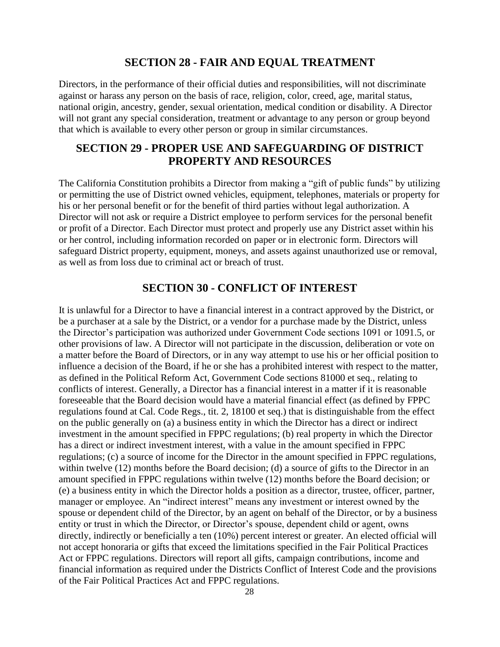## **SECTION 28 - FAIR AND EQUAL TREATMENT**

<span id="page-27-0"></span>Directors, in the performance of their official duties and responsibilities, will not discriminate against or harass any person on the basis of race, religion, color, creed, age, marital status, national origin, ancestry, gender, sexual orientation, medical condition or disability. A Director will not grant any special consideration, treatment or advantage to any person or group beyond that which is available to every other person or group in similar circumstances.

# <span id="page-27-1"></span>**SECTION 29 - PROPER USE AND SAFEGUARDING OF DISTRICT PROPERTY AND RESOURCES**

The California Constitution prohibits a Director from making a "gift of public funds" by utilizing or permitting the use of District owned vehicles, equipment, telephones, materials or property for his or her personal benefit or for the benefit of third parties without legal authorization. A Director will not ask or require a District employee to perform services for the personal benefit or profit of a Director. Each Director must protect and properly use any District asset within his or her control, including information recorded on paper or in electronic form. Directors will safeguard District property, equipment, moneys, and assets against unauthorized use or removal, as well as from loss due to criminal act or breach of trust.

# **SECTION 30 - CONFLICT OF INTEREST**

<span id="page-27-2"></span>It is unlawful for a Director to have a financial interest in a contract approved by the District, or be a purchaser at a sale by the District, or a vendor for a purchase made by the District, unless the Director's participation was authorized under Government Code sections 1091 or 1091.5, or other provisions of law. A Director will not participate in the discussion, deliberation or vote on a matter before the Board of Directors, or in any way attempt to use his or her official position to influence a decision of the Board, if he or she has a prohibited interest with respect to the matter, as defined in the Political Reform Act, Government Code sections 81000 et seq., relating to conflicts of interest. Generally, a Director has a financial interest in a matter if it is reasonable foreseeable that the Board decision would have a material financial effect (as defined by FPPC regulations found at Cal. Code Regs., tit. 2, 18100 et seq.) that is distinguishable from the effect on the public generally on (a) a business entity in which the Director has a direct or indirect investment in the amount specified in FPPC regulations; (b) real property in which the Director has a direct or indirect investment interest, with a value in the amount specified in FPPC regulations; (c) a source of income for the Director in the amount specified in FPPC regulations, within twelve (12) months before the Board decision; (d) a source of gifts to the Director in an amount specified in FPPC regulations within twelve (12) months before the Board decision; or (e) a business entity in which the Director holds a position as a director, trustee, officer, partner, manager or employee. An "indirect interest" means any investment or interest owned by the spouse or dependent child of the Director, by an agent on behalf of the Director, or by a business entity or trust in which the Director, or Director's spouse, dependent child or agent, owns directly, indirectly or beneficially a ten (10%) percent interest or greater. An elected official will not accept honoraria or gifts that exceed the limitations specified in the Fair Political Practices Act or FPPC regulations. Directors will report all gifts, campaign contributions, income and financial information as required under the Districts Conflict of Interest Code and the provisions of the Fair Political Practices Act and FPPC regulations.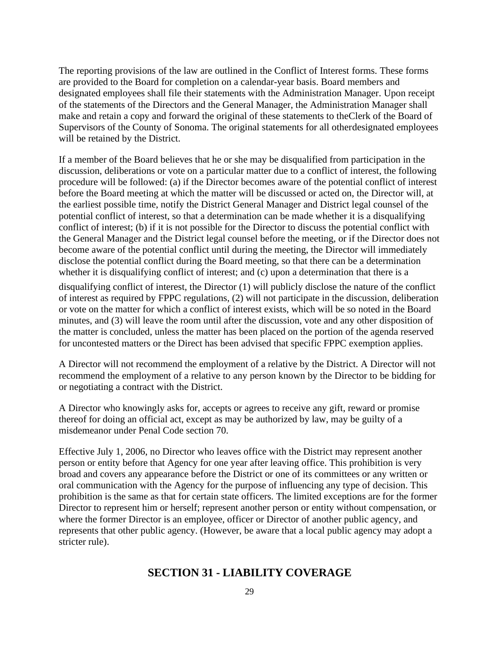The reporting provisions of the law are outlined in the Conflict of Interest forms. These forms are provided to the Board for completion on a calendar-year basis. Board members and designated employees shall file their statements with the Administration Manager. Upon receipt of the statements of the Directors and the General Manager, the Administration Manager shall make and retain a copy and forward the original of these statements to theClerk of the Board of Supervisors of the County of Sonoma. The original statements for all otherdesignated employees will be retained by the District.

If a member of the Board believes that he or she may be disqualified from participation in the discussion, deliberations or vote on a particular matter due to a conflict of interest, the following procedure will be followed: (a) if the Director becomes aware of the potential conflict of interest before the Board meeting at which the matter will be discussed or acted on, the Director will, at the earliest possible time, notify the District General Manager and District legal counsel of the potential conflict of interest, so that a determination can be made whether it is a disqualifying conflict of interest; (b) if it is not possible for the Director to discuss the potential conflict with the General Manager and the District legal counsel before the meeting, or if the Director does not become aware of the potential conflict until during the meeting, the Director will immediately disclose the potential conflict during the Board meeting, so that there can be a determination whether it is disqualifying conflict of interest; and (c) upon a determination that there is a

disqualifying conflict of interest, the Director (1) will publicly disclose the nature of the conflict of interest as required by FPPC regulations, (2) will not participate in the discussion, deliberation or vote on the matter for which a conflict of interest exists, which will be so noted in the Board minutes, and (3) will leave the room until after the discussion, vote and any other disposition of the matter is concluded, unless the matter has been placed on the portion of the agenda reserved for uncontested matters or the Direct has been advised that specific FPPC exemption applies.

A Director will not recommend the employment of a relative by the District. A Director will not recommend the employment of a relative to any person known by the Director to be bidding for or negotiating a contract with the District.

A Director who knowingly asks for, accepts or agrees to receive any gift, reward or promise thereof for doing an official act, except as may be authorized by law, may be guilty of a misdemeanor under Penal Code section 70.

Effective July 1, 2006, no Director who leaves office with the District may represent another person or entity before that Agency for one year after leaving office. This prohibition is very broad and covers any appearance before the District or one of its committees or any written or oral communication with the Agency for the purpose of influencing any type of decision. This prohibition is the same as that for certain state officers. The limited exceptions are for the former Director to represent him or herself; represent another person or entity without compensation, or where the former Director is an employee, officer or Director of another public agency, and represents that other public agency. (However, be aware that a local public agency may adopt a stricter rule).

## <span id="page-28-0"></span>**SECTION 31 - LIABILITY COVERAGE**